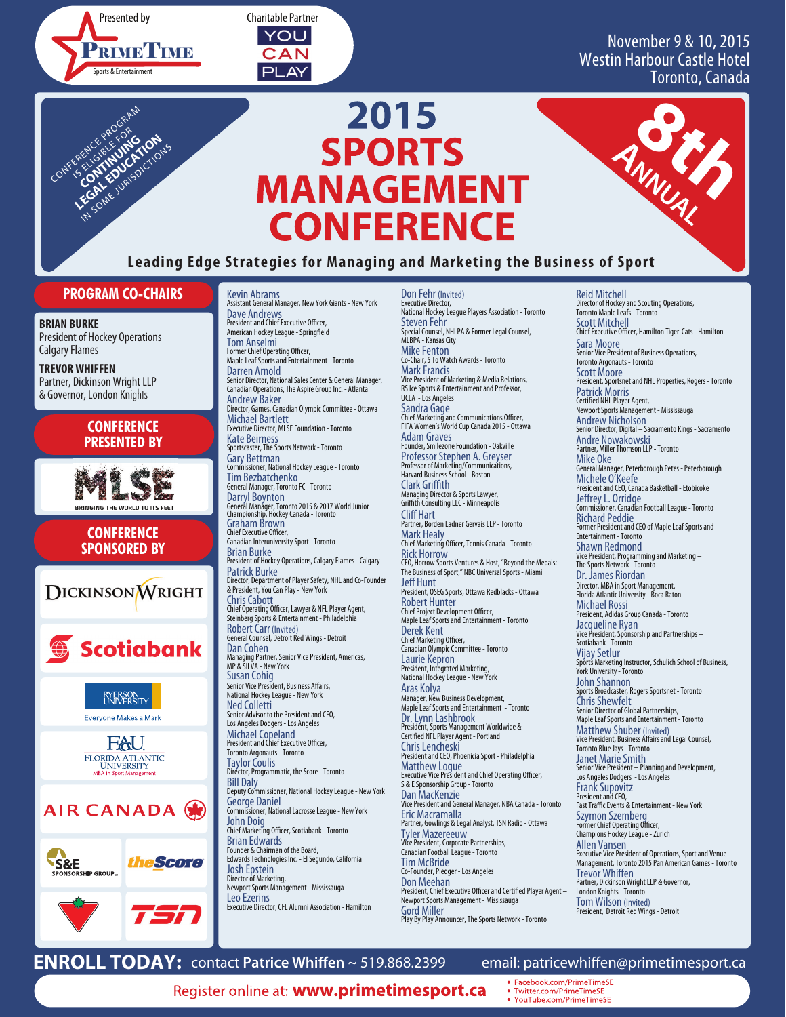PRIME<sup>T</sup>IME Sports & Entertainment Presented by



# November 9 & 10, 2015 Westin Harbour Castle Hotel Toronto, Canada

Reid Mitchell

8th 1

# **CONFERENCE Leading Edge Strategies for Managing and Marketing the Business of Sport** LEGAL EDUCATION IN SOME JURISDICTIONS **<sup>A</sup>NNUAL**

**2015**

**SPORTS**

**MANAGEMENT**

# **PROGRAM CO-CHAIRS**

**BRIAN BURKE** President of Hockey Operations Calgary Flames

CONFERENCE PROGRAM

**TREVOR WHIFFEN** Partner, Dickinson Wright LLP & Governor, London Knights

# **CONFERENCE PRESENTED BY**



**CONFERENCE SPONSORED BY**

**DICKINSON WRIGHT Scotiabank** RYERSON<br>UNIVERSITY Everyone Makes a Mark FAU FLORIDA ATLANTIC<br>UNIVERSITY<br>MBA in Sport Management AIR CANADA (米 theScore S&E

—<br>RSHIP GROUP.

Kevin Abrams Assistant General Manager, New York Giants - New York Dave Andrews<br>President and Chief Executive Officer, American Hockey League - Springfield Tom Anselmi ...<br>mer Chief Operating Officer, Maple Leaf Sports and Entertainment - Toronto Darren Arnold Senior Director, National Sales Center & General Manager, Canadian Operations, The Aspire Group Inc. - Atlanta Andrew Baker Director, Games, Canadian Olympic Committee - Ottawa Michael Bartlett Executive Director, MLSE Foundation - Toronto Kate Beirness Sportscaster, The Sports Network - Toronto Gary Bettman Commissioner, National Hockey League - Toronto Tim Bezbatchenko General Manager, Toronto FC - Toronto Darryl Boynton General Manager, Toronto 2015 & 2017 World Junior Championship, Hockey Canada - Toronto Graham Brown<br>Chief Executive Officer, Canadian Interuniversity Sport - Toronto Brian Burke President of Hockey Operations, Calgary Flames - Calgary Patrick Burke Director, Department of Player Safety, NHL and Co-Founder & President, You Can Play - New York Chris Cabott Chief Operating Officer, Lawyer & NFL Player Agent,<br>Steinberg Sports & Entertainment - Philadelphia Robert Carr (Invited) General Counsel, Detroit Red Wings - Detroit Dan Cohen Managing Partner, Senior Vice President, Americas, MP & SILVA - New York Susan Cohig<br>Senior Vice President, Business Affairs, National Hockey League - New York Ned Colletti Senior Advisor to the President and CEO, Los Angeles Dodgers - Los Angeles Michael Copeland<br>President and Chief Executive Officer, Toronto Argonauts - Toronto Taylor Coulis Director, Programmatic, the Score - Toronto Bill Daly Deputy Commissioner, National Hockey League - New York George Daniel Commissioner, National Lacrosse League - New York John Doig<br>Chief Marketing Officer, Scotiabank - Toronto Brian Edwards Founder & Chairman of the Board, Edwards Technologies Inc. - El Segundo, California Josh Epstein Director of Marketing, Newport Sports Management - Mississauga

Don Fehr (Invited) Executive Director, National Hockey League Players Association - Toronto Steven Fehr Special Counsel, NHLPA & Former Legal Counsel, MLBPA - Kansas City Mike Fenton Co-Chair, 5 To Watch Awards - Toronto Mark Francis Vice President of Marketing & Media Relations, RS Ice Sports & Entertainment and Professor, UCLA - Los Angeles Sandra Gage<br>Chief Marketing and Communications Officer, FIFA Women's World Cup Canada 2015 - Ottawa Adam Graves Founder, Smilezone Foundation - Oakville Professor Stephen A. Greyser Professor of Marketing/Communications, Harvard Business School - Boston Clark Griffith Managing Director & Sports Lawyer, Grith Consulting LLC - Minneapolis **Cliff Hart** Partner, Borden Ladner Gervais LLP - Toronto Mark Healy Chief Marketing Officer, Tennis Canada - Toronto Rick Horrow CEO, Horrow Sports Ventures & Host, "Beyond the Medals: The Business of Sport," NBC Universal Sports - Miami **Jeff Hunt** President, OSEG Sports, Ottawa Redblacks - Ottawa Robert Hunter Chief Project Development Officer,<br>Maple Leaf Sports and Entertainment - Toronto Derek Kent Chief Marketing Officer,<br>Canadian Olympic Committee - Toronto Laurie Kepron President, Integrated Marketing, National Hockey League - New York Aras Kolya Manager, New Business Development, Maple Leaf Sports and Entertainment - Toronto Dr. Lynn Lashbrook Presidént, Sports Management Worldwide &<br>Certified NFL Player Agent - Portland Chris Lencheski President and CEO, Phoenicia Sport - Philadelphia Matthew Logue Executive Vice President and Chief Operating Officer, S & E Sponsorship Group - Toronto Dan MacKenzie Vice President and General Manager, NBA Canada - Toronto Eric Macramalla Partner, Gowlings & Legal Analyst, TSN Radio - Ottawa Tyler Mazereeuw Vice President, Corporate Partnerships, Canadian Football League - Toronto Tim McBride Co-Founder, Pledger - Los Angeles Don Meehan **President, Chief Executive Officer and Certified Player Agent –** Newport Sports Management - Mississauga Gord Miller Play By Play Announcer, The Sports Network - Toronto

Director of Hockey and Scouting Operations, Toronto Maple Leafs - Toronto Scott Mitchell **Chief Executive Officer, Hamilton Tiger-Cats - Hamilton** Sara Moore Senior Vice President of Business Operations, Toronto Argonauts - Toronto Scott Moore President, Sportsnet and NHL Properties, Rogers - Toronto Patrick Morris Certied NHL Player Agent, Newport Sports Management - Mississauga Andrew Nicholson Senior Director, Digital – Sacramento Kings - Sacramento Andre Nowakowski Partner, Miller Thomson LLP - Toronto Mike Oke General Manager, Peterborough Petes - Peterborough Michele O'Keefe President and CEO, Canada Basketball - Etobicoke Jeffrey L. Orridge<br>Commissioner, Canadian Football League - Toronto<br>Richard Peddie<br>Former President and CEO of Maple Leaf Sports and Entertainment - Toronto Shawn Redmond Vice President, Programming and Marketing – The Sports Network - Toronto Dr. James Riordan Director, MBA in Sport Management, Florida Atlantic University - Boca Raton Michael Rossi President, Adidas Group Canada - Toronto Jacqueline Ryan Vice President, Sponsorship and Partnerships – Scotiabank - Toronto Vijay Setlur Sports Marketing Instructor, Schulich School of Business, York University - Toronto John Shannon Sports Broadcaster, Rogers Sportsnet - Toronto Chris Shewfelt Senior Director of Global Partnerships, Maple Leaf Sports and Entertainment - Toronto Matthew Shuber (Invited)<br>Vice President, Business Affairs and Legal Counsel,<br>Toronto Blue Jays - Toronto Janet Marie Smith Senior Vice President – Planning and Development, Los Angeles Dodgers - Los Angeles Frank Supovitz President and CEO, Fast Traffic Events & Entertainment - New York Szymon Szemberg<br>Former Chief Operating Officer, Champions Hockey League - Zurich Allen Vansen Executive Vice President of Operations, Sport and Venue Management, Toronto 2015 Pan American Games - Toronto Trevor Whiffen<br>Partner, Dickinson Wright LLP & Governor, London Knights - Toronto Tom Wilson (Invited) President, Detroit Red Wings - Detroit

**ENROLL TODAY:** contact Patrice Whiffen ~ 519.868.2399 email: patricewhiffen@primetimesport.ca

Leo Ezerins

**Register online at: www.primetimesport.ca** • Facebook.com/PrimeTimeSE

Executive Director, CFL Alumni Association - Hamilton

Twitter.com/PrimeTimeSE

YouTube.com/PrimeTimeSE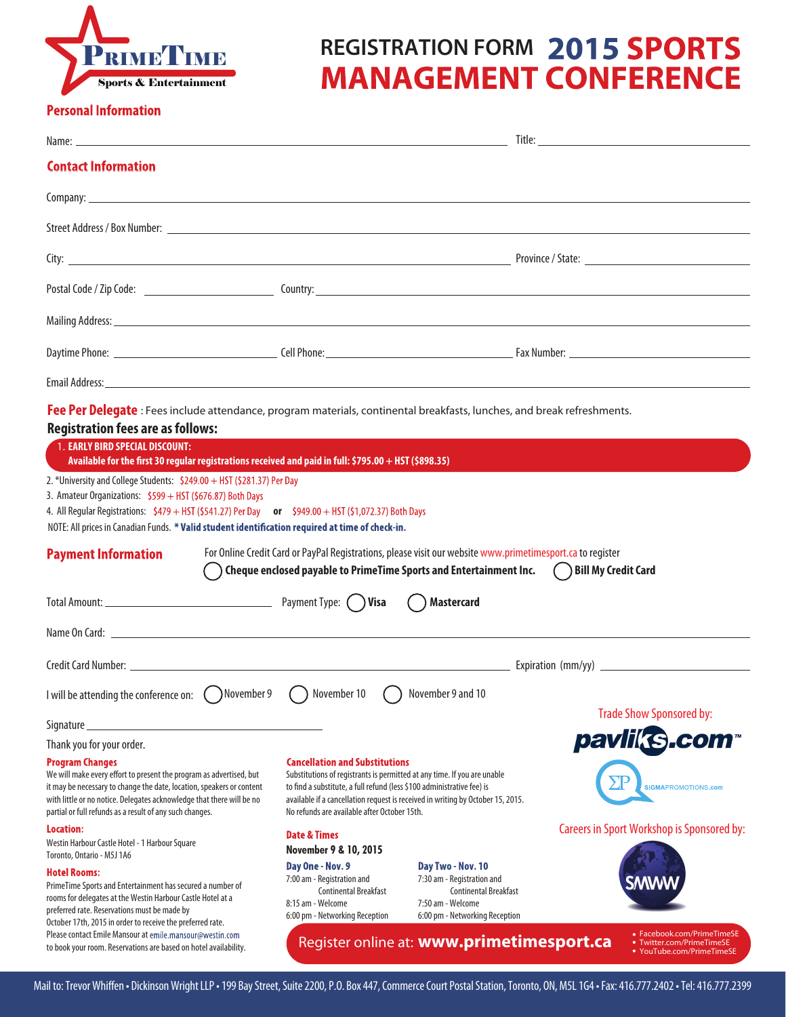

# **PRIMETIME REGISTRATION FORM 2015 SPORTS MANAGEMENT CONFERENCE**

#### **Personal Information**

|                                                                                                                                                                                                                                                                                                                                                                                                                                                                                                                                                  |                                                                                                                                                                                                                                                                                                                                |                                                                                                                                                                                  | Title: The contract of the contract of the contract of the contract of the contract of the contract of the contract of the contract of the contract of the contract of the contract of the contract of the contract of the con |
|--------------------------------------------------------------------------------------------------------------------------------------------------------------------------------------------------------------------------------------------------------------------------------------------------------------------------------------------------------------------------------------------------------------------------------------------------------------------------------------------------------------------------------------------------|--------------------------------------------------------------------------------------------------------------------------------------------------------------------------------------------------------------------------------------------------------------------------------------------------------------------------------|----------------------------------------------------------------------------------------------------------------------------------------------------------------------------------|--------------------------------------------------------------------------------------------------------------------------------------------------------------------------------------------------------------------------------|
| <b>Contact Information</b>                                                                                                                                                                                                                                                                                                                                                                                                                                                                                                                       |                                                                                                                                                                                                                                                                                                                                |                                                                                                                                                                                  |                                                                                                                                                                                                                                |
|                                                                                                                                                                                                                                                                                                                                                                                                                                                                                                                                                  |                                                                                                                                                                                                                                                                                                                                |                                                                                                                                                                                  |                                                                                                                                                                                                                                |
|                                                                                                                                                                                                                                                                                                                                                                                                                                                                                                                                                  |                                                                                                                                                                                                                                                                                                                                |                                                                                                                                                                                  |                                                                                                                                                                                                                                |
|                                                                                                                                                                                                                                                                                                                                                                                                                                                                                                                                                  |                                                                                                                                                                                                                                                                                                                                |                                                                                                                                                                                  |                                                                                                                                                                                                                                |
|                                                                                                                                                                                                                                                                                                                                                                                                                                                                                                                                                  |                                                                                                                                                                                                                                                                                                                                |                                                                                                                                                                                  |                                                                                                                                                                                                                                |
| Mailing Address: <u>All and the Community of the Community of the Community of the Community of the Community of the Community of the Community of the Community of the Community of the Community of the Community of the Commu</u>                                                                                                                                                                                                                                                                                                             |                                                                                                                                                                                                                                                                                                                                |                                                                                                                                                                                  |                                                                                                                                                                                                                                |
|                                                                                                                                                                                                                                                                                                                                                                                                                                                                                                                                                  |                                                                                                                                                                                                                                                                                                                                |                                                                                                                                                                                  |                                                                                                                                                                                                                                |
|                                                                                                                                                                                                                                                                                                                                                                                                                                                                                                                                                  |                                                                                                                                                                                                                                                                                                                                |                                                                                                                                                                                  |                                                                                                                                                                                                                                |
| <b>Registration fees are as follows:</b><br><b>1. EARLY BIRD SPECIAL DISCOUNT:</b><br>Available for the first 30 regular registrations received and paid in full: \$795.00 + HST (\$898.35)<br>2. *University and College Students: \$249.00 + HST (\$281.37) Per Day<br>3. Amateur Organizations: \$599 + HST (\$676.87) Both Days<br>4. All Regular Registrations: $$479 + HST ($541.27)$ Per Day or $$949.00 + HST ($1,072.37)$ Both Days<br>NOTE: All prices in Canadian Funds. * Valid student identification required at time of check-in. |                                                                                                                                                                                                                                                                                                                                |                                                                                                                                                                                  |                                                                                                                                                                                                                                |
| <b>Payment Information</b><br>$(\quad)$                                                                                                                                                                                                                                                                                                                                                                                                                                                                                                          |                                                                                                                                                                                                                                                                                                                                | For Online Credit Card or PayPal Registrations, please visit our website www.primetimesport.ca to register<br>Cheque enclosed payable to PrimeTime Sports and Entertainment Inc. | ( ) Bill My Credit Card                                                                                                                                                                                                        |
|                                                                                                                                                                                                                                                                                                                                                                                                                                                                                                                                                  |                                                                                                                                                                                                                                                                                                                                | <b>Mastercard</b>                                                                                                                                                                |                                                                                                                                                                                                                                |
|                                                                                                                                                                                                                                                                                                                                                                                                                                                                                                                                                  |                                                                                                                                                                                                                                                                                                                                |                                                                                                                                                                                  |                                                                                                                                                                                                                                |
|                                                                                                                                                                                                                                                                                                                                                                                                                                                                                                                                                  |                                                                                                                                                                                                                                                                                                                                |                                                                                                                                                                                  |                                                                                                                                                                                                                                |
| I will be attending the conference on: $\bigcirc$ November 9 $\bigcirc$ November 10                                                                                                                                                                                                                                                                                                                                                                                                                                                              |                                                                                                                                                                                                                                                                                                                                | ( ) November 9 and 10                                                                                                                                                            |                                                                                                                                                                                                                                |
| Signature                                                                                                                                                                                                                                                                                                                                                                                                                                                                                                                                        |                                                                                                                                                                                                                                                                                                                                |                                                                                                                                                                                  | <b>Trade Show Sponsored by:</b>                                                                                                                                                                                                |
| Thank you for your order.                                                                                                                                                                                                                                                                                                                                                                                                                                                                                                                        |                                                                                                                                                                                                                                                                                                                                |                                                                                                                                                                                  | pavliks.com                                                                                                                                                                                                                    |
| <b>Program Changes</b><br>We will make every effort to present the program as advertised, but<br>it may be necessary to change the date, location, speakers or content<br>with little or no notice. Delegates acknowledge that there will be no<br>partial or full refunds as a result of any such changes.                                                                                                                                                                                                                                      | <b>Cancellation and Substitutions</b><br>Substitutions of registrants is permitted at any time. If you are unable<br>to find a substitute, a full refund (less \$100 administrative fee) is<br>available if a cancellation request is received in writing by October 15, 2015.<br>No refunds are available after October 15th. |                                                                                                                                                                                  | <b>SIGMAPROMOTIONS.com</b>                                                                                                                                                                                                     |
| Location:                                                                                                                                                                                                                                                                                                                                                                                                                                                                                                                                        | <b>Date &amp; Times</b>                                                                                                                                                                                                                                                                                                        |                                                                                                                                                                                  | <b>Careers in Sport Workshop is Sponsored by:</b>                                                                                                                                                                              |
| Westin Harbour Castle Hotel - 1 Harbour Square                                                                                                                                                                                                                                                                                                                                                                                                                                                                                                   | November 9 & 10, 2015                                                                                                                                                                                                                                                                                                          |                                                                                                                                                                                  |                                                                                                                                                                                                                                |
| Toronto, Ontario - M5J 1A6<br><b>Hotel Rooms:</b><br>PrimeTime Sports and Entertainment has secured a number of<br>rooms for delegates at the Westin Harbour Castle Hotel at a<br>preferred rate. Reservations must be made by<br>October 17th, 2015 in order to receive the preferred rate.                                                                                                                                                                                                                                                     | Day One - Nov. 9<br>7:00 am - Registration and<br>Continental Breakfast<br>8:15 am - Welcome<br>6:00 pm - Networking Reception                                                                                                                                                                                                 | Day Two - Nov. 10<br>7:30 am - Registration and<br><b>Continental Breakfast</b><br>7:50 am - Welcome<br>6:00 pm - Networking Reception                                           |                                                                                                                                                                                                                                |
| Please contact Emile Mansour at emile.mansour@westin.com<br>to book your room. Reservations are based on hotel availability.                                                                                                                                                                                                                                                                                                                                                                                                                     |                                                                                                                                                                                                                                                                                                                                | Register online at: www.primetimesport.ca                                                                                                                                        | • Facebook.com/PrimeTimeSE<br>• Twitter.com/PrimeTimeSE<br>YouTube.com/PrimeTimeSE                                                                                                                                             |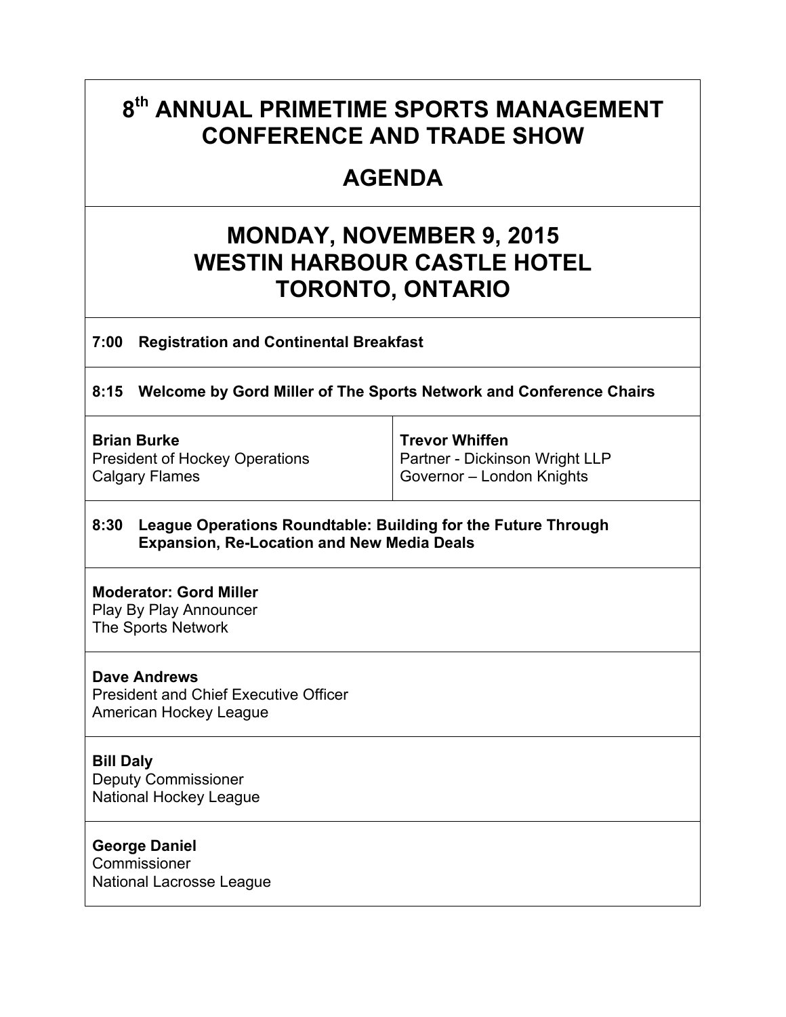# **8th ANNUAL PRIMETIME SPORTS MANAGEMENT CONFERENCE AND TRADE SHOW**

# **AGENDA**

# **MONDAY, NOVEMBER 9, 2015 WESTIN HARBOUR CASTLE HOTEL TORONTO, ONTARIO**

**7:00 Registration and Continental Breakfast** 

**8:15 Welcome by Gord Miller of The Sports Network and Conference Chairs** 

 $\top$ 

| <b>Brian Burke</b>                    | Trevor Whiffen                 |
|---------------------------------------|--------------------------------|
| <b>President of Hockey Operations</b> | Partner - Dickinson Wright LLP |
| Calgary Flames                        | Governor - London Knights      |

# **8:30 League Operations Roundtable: Building for the Future Through Expansion, Re-Location and New Media Deals**

# **Moderator: Gord Miller**

Play By Play Announcer The Sports Network

# **Dave Andrews**

President and Chief Executive Officer American Hockey League

# **Bill Daly**

Deputy Commissioner National Hockey League

# **George Daniel**

**Commissioner** National Lacrosse League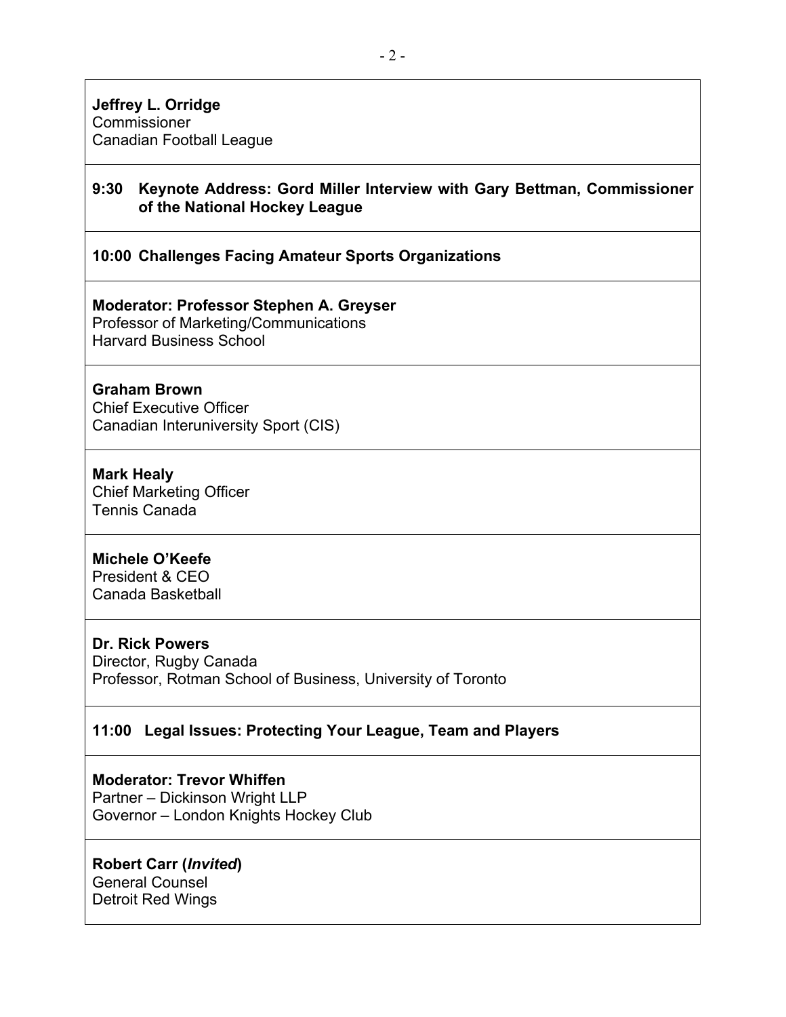# **9:30 Keynote Address: Gord Miller Interview with Gary Bettman, Commissioner of the National Hockey League**

# **10:00 Challenges Facing Amateur Sports Organizations**

# **Moderator: Professor Stephen A. Greyser**

Professor of Marketing/Communications Harvard Business School

# **Graham Brown**

Chief Executive Officer Canadian Interuniversity Sport (CIS)

# **Mark Healy**

Chief Marketing Officer Tennis Canada

# **Michele O'Keefe**

President & CEO Canada Basketball

# **Dr. Rick Powers**

Director, Rugby Canada Professor, Rotman School of Business, University of Toronto

# **11:00 Legal Issues: Protecting Your League, Team and Players**

# **Moderator: Trevor Whiffen**

Partner – Dickinson Wright LLP Governor – London Knights Hockey Club

# **Robert Carr (***Invited***)**

General Counsel Detroit Red Wings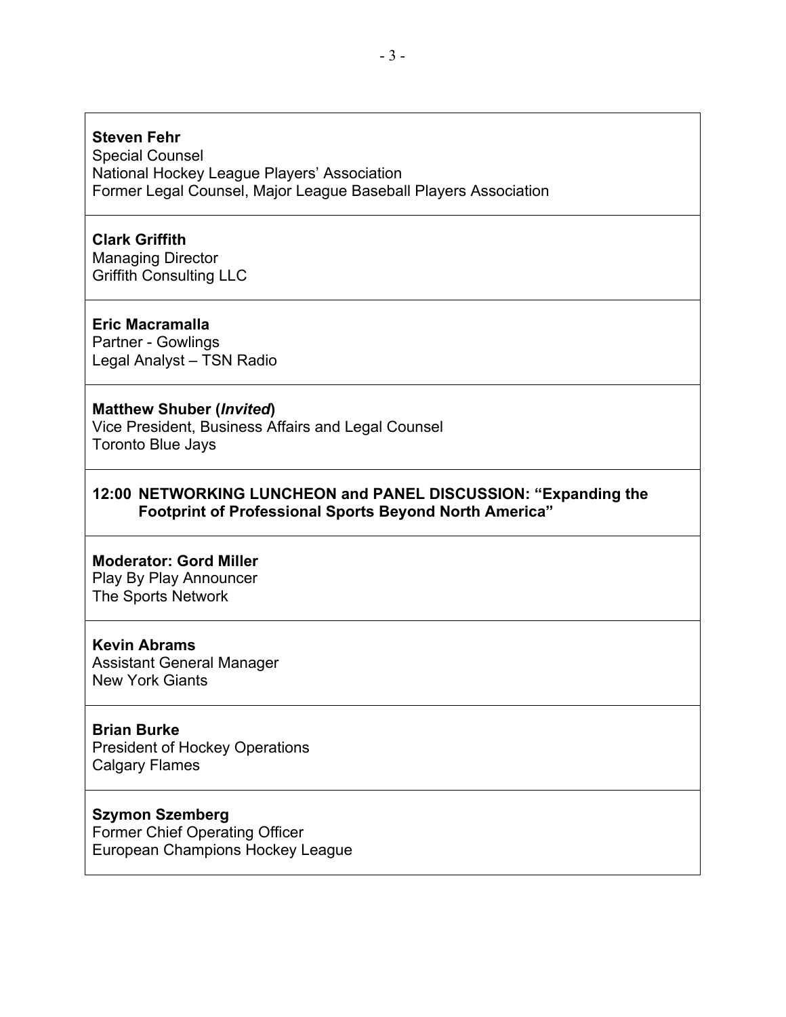# **Steven Fehr**

Special Counsel National Hockey League Players' Association Former Legal Counsel, Major League Baseball Players Association

# **Clark Griffith**

Managing Director Griffith Consulting LLC

#### **Eric Macramalla**

Partner - Gowlings Legal Analyst – TSN Radio

#### **Matthew Shuber (***Invited***)**

Vice President, Business Affairs and Legal Counsel Toronto Blue Jays

# **12:00 NETWORKING LUNCHEON and PANEL DISCUSSION: "Expanding the Footprint of Professional Sports Beyond North America"**

#### **Moderator: Gord Miller**

Play By Play Announcer The Sports Network

#### **Kevin Abrams**

Assistant General Manager New York Giants

#### **Brian Burke**

President of Hockey Operations Calgary Flames

# **Szymon Szemberg**

Former Chief Operating Officer European Champions Hockey League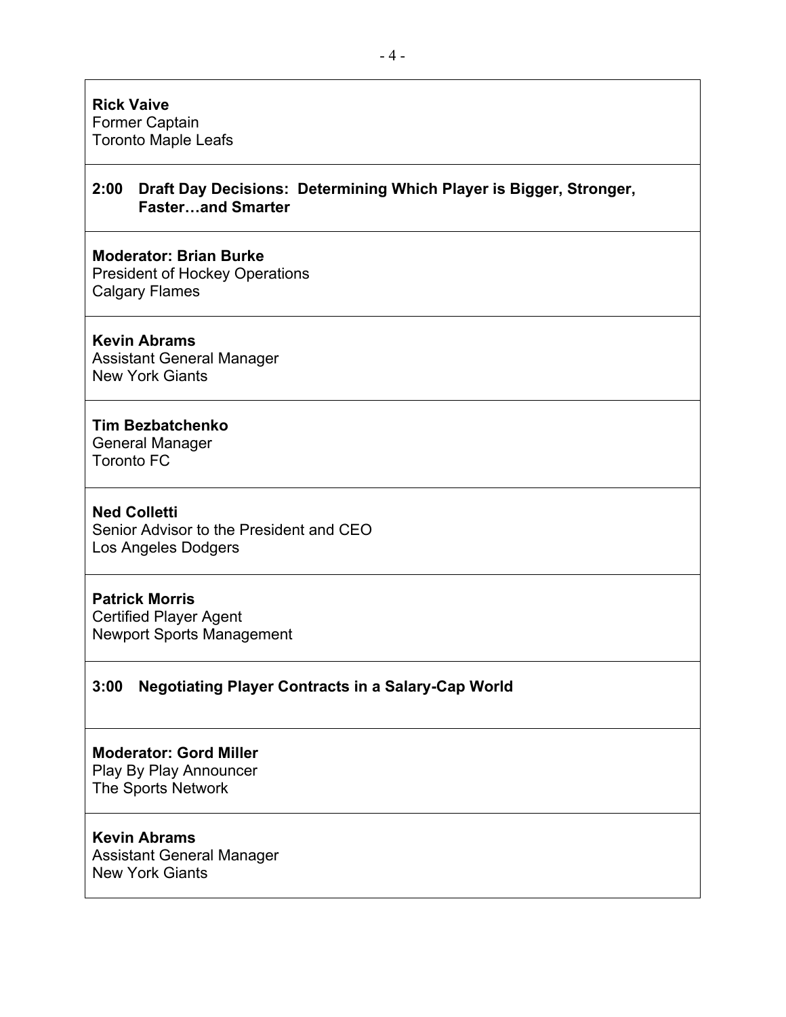# **Rick Vaive**

Former Captain Toronto Maple Leafs

# **2:00 Draft Day Decisions: Determining Which Player is Bigger, Stronger, Faster…and Smarter**

# **Moderator: Brian Burke**

President of Hockey Operations Calgary Flames

#### **Kevin Abrams**

Assistant General Manager New York Giants

# **Tim Bezbatchenko**

General Manager Toronto FC

#### **Ned Colletti**

Senior Advisor to the President and CEO Los Angeles Dodgers

# **Patrick Morris**

Certified Player Agent Newport Sports Management

# **3:00 Negotiating Player Contracts in a Salary-Cap World**

# **Moderator: Gord Miller**

Play By Play Announcer The Sports Network

# **Kevin Abrams**

Assistant General Manager New York Giants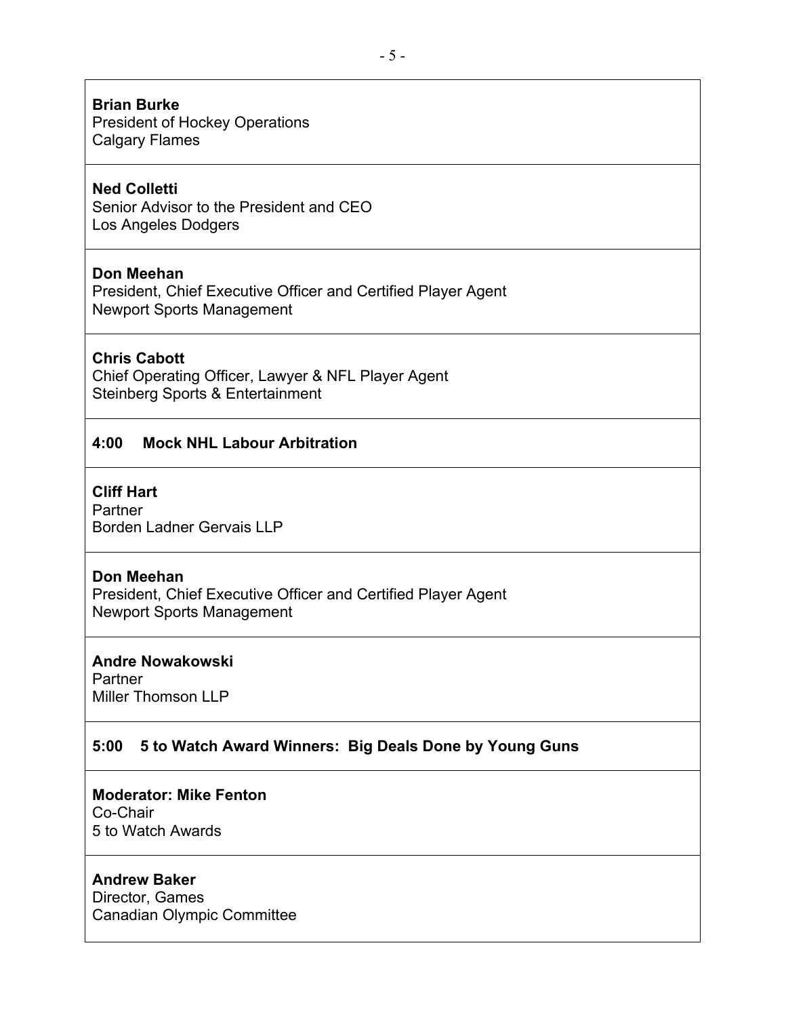#### **Brian Burke**

President of Hockey Operations Calgary Flames

# **Ned Colletti**

Senior Advisor to the President and CEO Los Angeles Dodgers

# **Don Meehan**

President, Chief Executive Officer and Certified Player Agent Newport Sports Management

# **Chris Cabott**

Chief Operating Officer, Lawyer & NFL Player Agent Steinberg Sports & Entertainment

# **4:00 Mock NHL Labour Arbitration**

# **Cliff Hart**

Partner Borden Ladner Gervais LLP

# **Don Meehan**

President, Chief Executive Officer and Certified Player Agent Newport Sports Management

# **Andre Nowakowski**

**Partner** Miller Thomson LLP

# **5:00 5 to Watch Award Winners: Big Deals Done by Young Guns**

#### **Moderator: Mike Fenton**

Co-Chair 5 to Watch Awards

# **Andrew Baker**

Director, Games Canadian Olympic Committee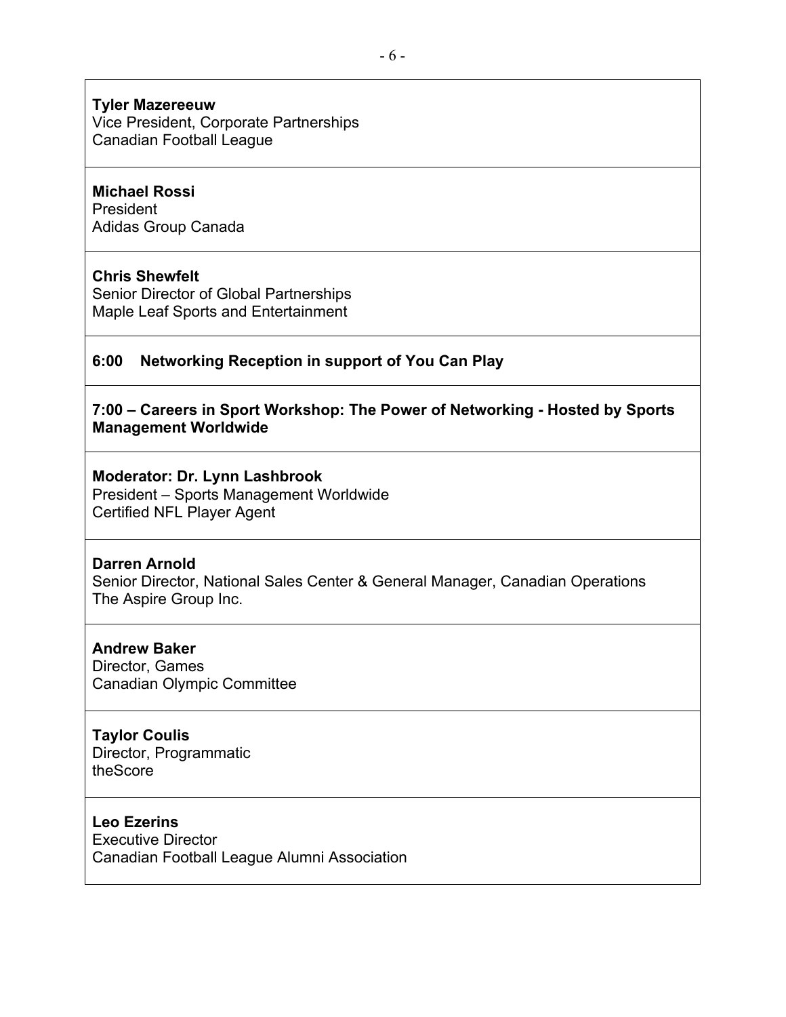#### **Tyler Mazereeuw**

Vice President, Corporate Partnerships Canadian Football League

# **Michael Rossi**

President Adidas Group Canada

#### **Chris Shewfelt**

Senior Director of Global Partnerships Maple Leaf Sports and Entertainment

# **6:00 Networking Reception in support of You Can Play**

# **7:00 – Careers in Sport Workshop: The Power of Networking - Hosted by Sports Management Worldwide**

# **Moderator: Dr. Lynn Lashbrook**

President – Sports Management Worldwide Certified NFL Player Agent

#### **Darren Arnold**

Senior Director, National Sales Center & General Manager, Canadian Operations The Aspire Group Inc.

# **Andrew Baker**

Director, Games Canadian Olympic Committee

# **Taylor Coulis**

Director, Programmatic theScore

# **Leo Ezerins**

Executive Director Canadian Football League Alumni Association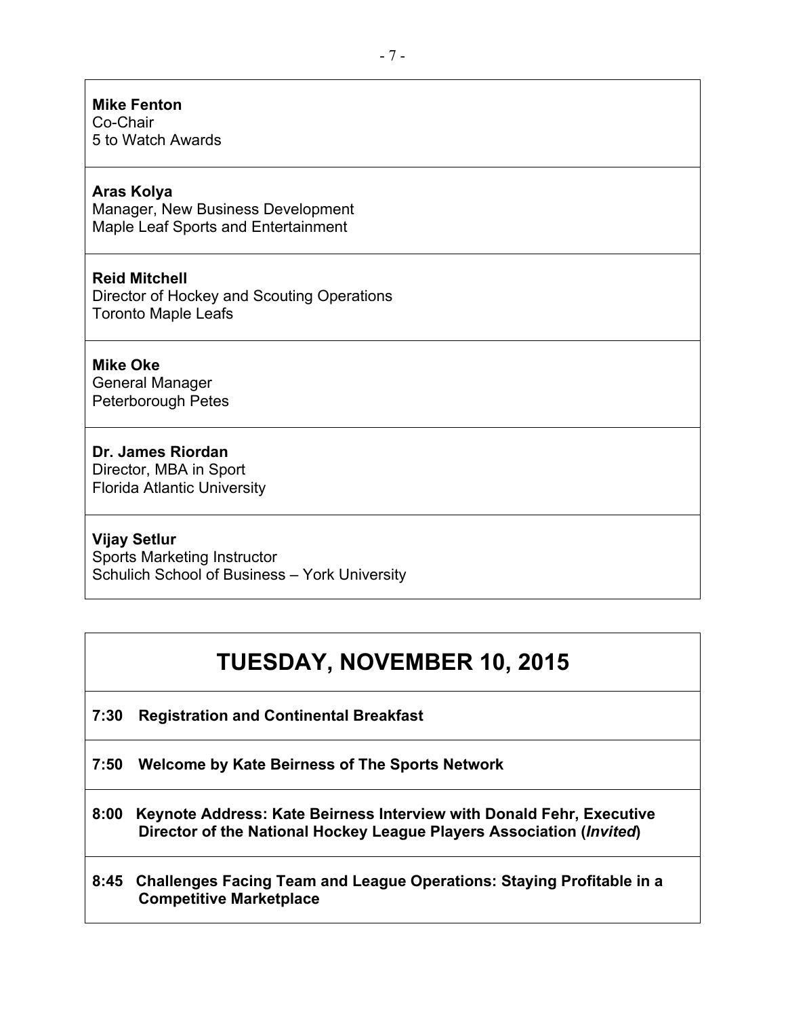# **Mike Fenton**

Co-Chair 5 to Watch Awards

# **Aras Kolya**

Manager, New Business Development Maple Leaf Sports and Entertainment

# **Reid Mitchell**

Director of Hockey and Scouting Operations Toronto Maple Leafs

# **Mike Oke**

General Manager Peterborough Petes

# **Dr. James Riordan**

Director, MBA in Sport Florida Atlantic University

# **Vijay Setlur**

Sports Marketing Instructor Schulich School of Business – York University

# **TUESDAY, NOVEMBER 10, 2015**

**7:30 Registration and Continental Breakfast** 

**7:50 Welcome by Kate Beirness of The Sports Network** 

**8:00 Keynote Address: Kate Beirness Interview with Donald Fehr, Executive Director of the National Hockey League Players Association (***Invited***)**

# **8:45 Challenges Facing Team and League Operations: Staying Profitable in a Competitive Marketplace**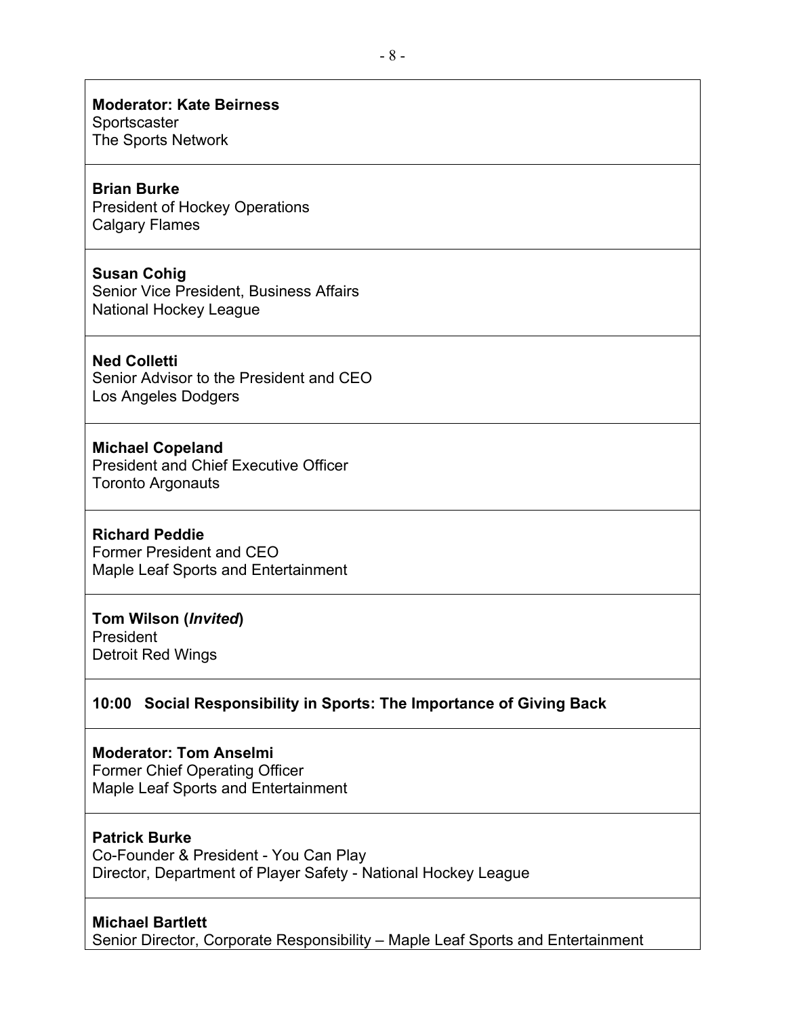#### **Moderator: Kate Beirness**

**Sportscaster** The Sports Network

# **Brian Burke**

President of Hockey Operations Calgary Flames

#### **Susan Cohig**

Senior Vice President, Business Affairs National Hockey League

# **Ned Colletti**

Senior Advisor to the President and CEO Los Angeles Dodgers

#### **Michael Copeland**

President and Chief Executive Officer Toronto Argonauts

#### **Richard Peddie**

Former President and CEO Maple Leaf Sports and Entertainment

#### **Tom Wilson (***Invited***)**

President Detroit Red Wings

# **10:00 Social Responsibility in Sports: The Importance of Giving Back**

# **Moderator: Tom Anselmi**

Former Chief Operating Officer Maple Leaf Sports and Entertainment

# **Patrick Burke**

Co-Founder & President - You Can Play Director, Department of Player Safety - National Hockey League

#### **Michael Bartlett**

Senior Director, Corporate Responsibility – Maple Leaf Sports and Entertainment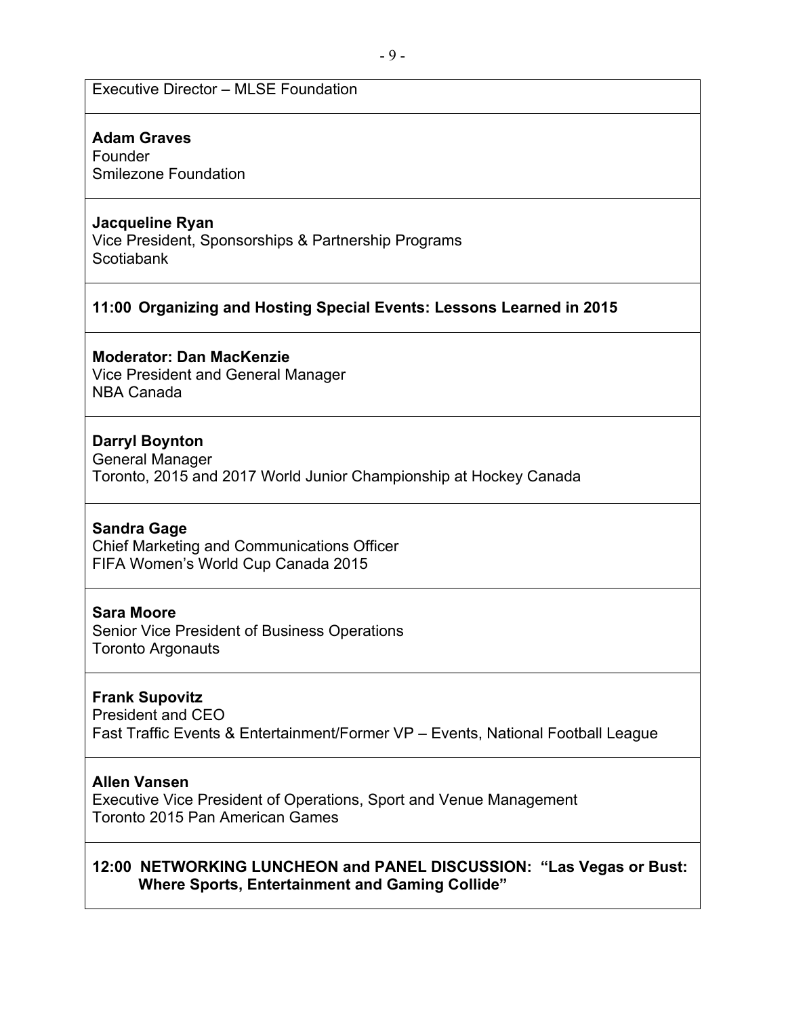# Executive Director – MLSE Foundation

#### **Adam Graves**

Founder Smilezone Foundation

#### **Jacqueline Ryan**

Vice President, Sponsorships & Partnership Programs **Scotiabank** 

# **11:00 Organizing and Hosting Special Events: Lessons Learned in 2015**

#### **Moderator: Dan MacKenzie**

Vice President and General Manager NBA Canada

# **Darryl Boynton**

General Manager Toronto, 2015 and 2017 World Junior Championship at Hockey Canada

#### **Sandra Gage**

Chief Marketing and Communications Officer FIFA Women's World Cup Canada 2015

#### **Sara Moore**

Senior Vice President of Business Operations Toronto Argonauts

#### **Frank Supovitz**

President and CEO Fast Traffic Events & Entertainment/Former VP – Events, National Football League

#### **Allen Vansen**

Executive Vice President of Operations, Sport and Venue Management Toronto 2015 Pan American Games

# **12:00 NETWORKING LUNCHEON and PANEL DISCUSSION: "Las Vegas or Bust: Where Sports, Entertainment and Gaming Collide"**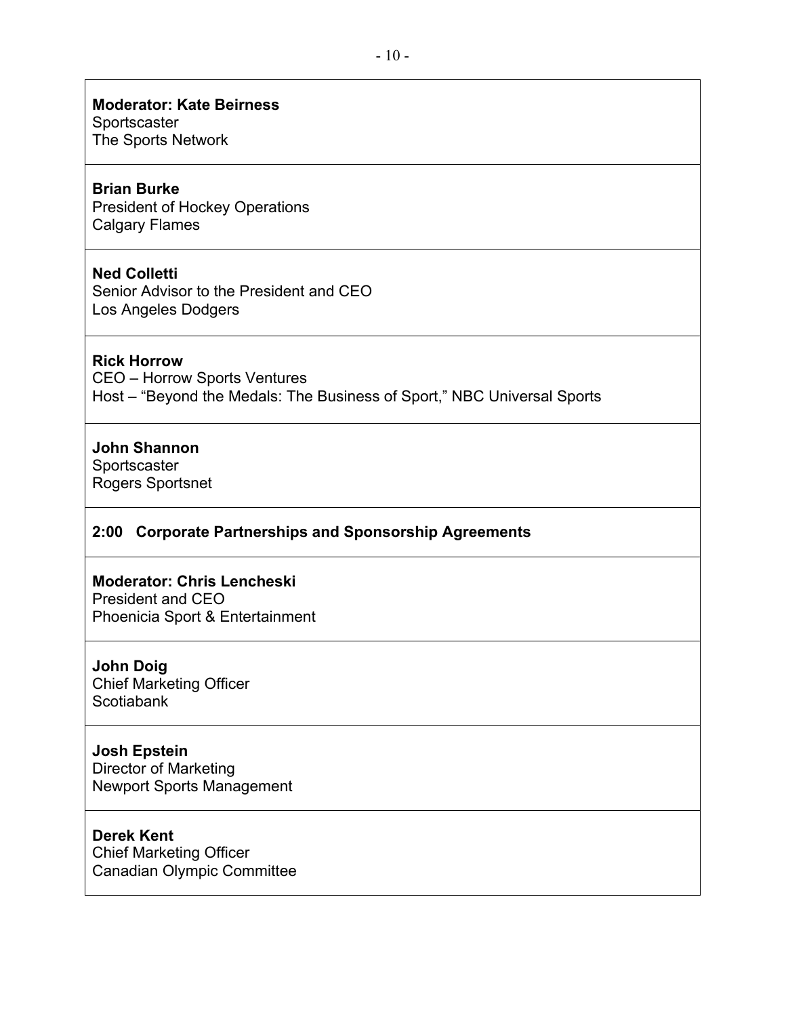# **Moderator: Kate Beirness**

**Sportscaster** 

# The Sports Network

# **Brian Burke**

President of Hockey Operations Calgary Flames

# **Ned Colletti**

Senior Advisor to the President and CEO Los Angeles Dodgers

# **Rick Horrow**

CEO – Horrow Sports Ventures Host – "Beyond the Medals: The Business of Sport," NBC Universal Sports

# **John Shannon**

Sportscaster Rogers Sportsnet

# **2:00 Corporate Partnerships and Sponsorship Agreements**

# **Moderator: Chris Lencheski**

President and CEO Phoenicia Sport & Entertainment

**John Doig** Chief Marketing Officer **Scotiabank** 

# **Josh Epstein**

Director of Marketing Newport Sports Management

# **Derek Kent**

Chief Marketing Officer Canadian Olympic Committee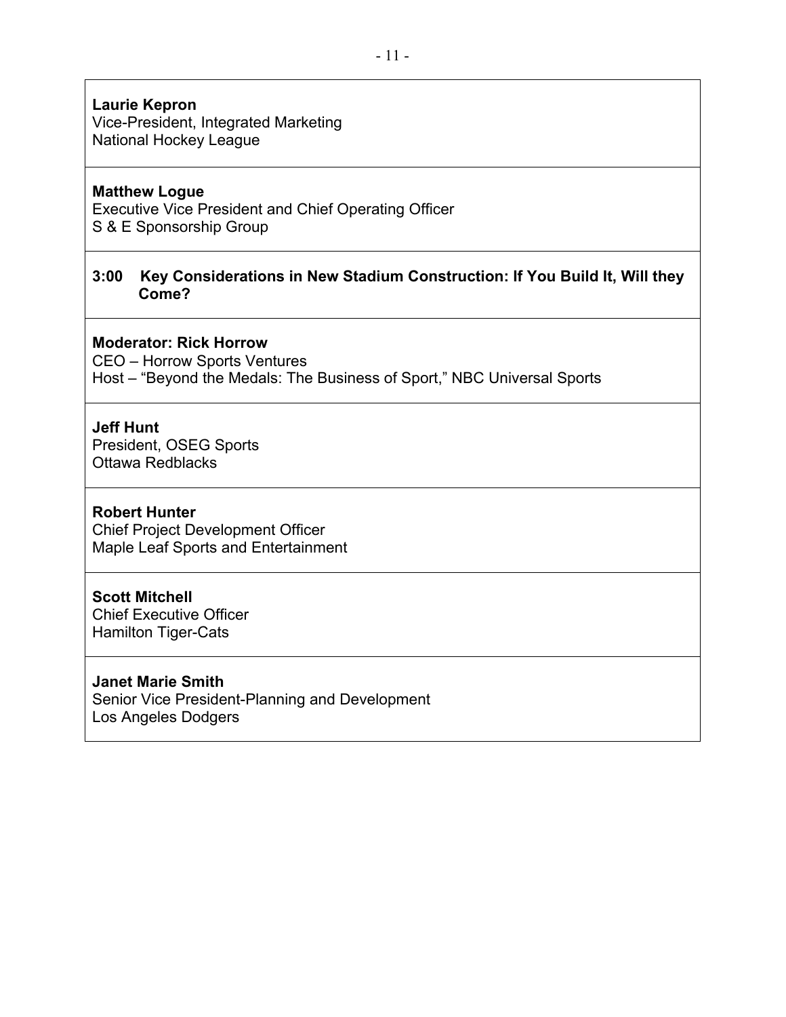# **Laurie Kepron**

Vice-President, Integrated Marketing National Hockey League

# **Matthew Logue**

Executive Vice President and Chief Operating Officer S & E Sponsorship Group

# **3:00 Key Considerations in New Stadium Construction: If You Build It, Will they Come?**

#### **Moderator: Rick Horrow**

CEO – Horrow Sports Ventures

Host – "Beyond the Medals: The Business of Sport," NBC Universal Sports

# **Jeff Hunt**

President, OSEG Sports Ottawa Redblacks

#### **Robert Hunter**

Chief Project Development Officer Maple Leaf Sports and Entertainment

# **Scott Mitchell**

Chief Executive Officer Hamilton Tiger-Cats

# **Janet Marie Smith**

Senior Vice President-Planning and Development Los Angeles Dodgers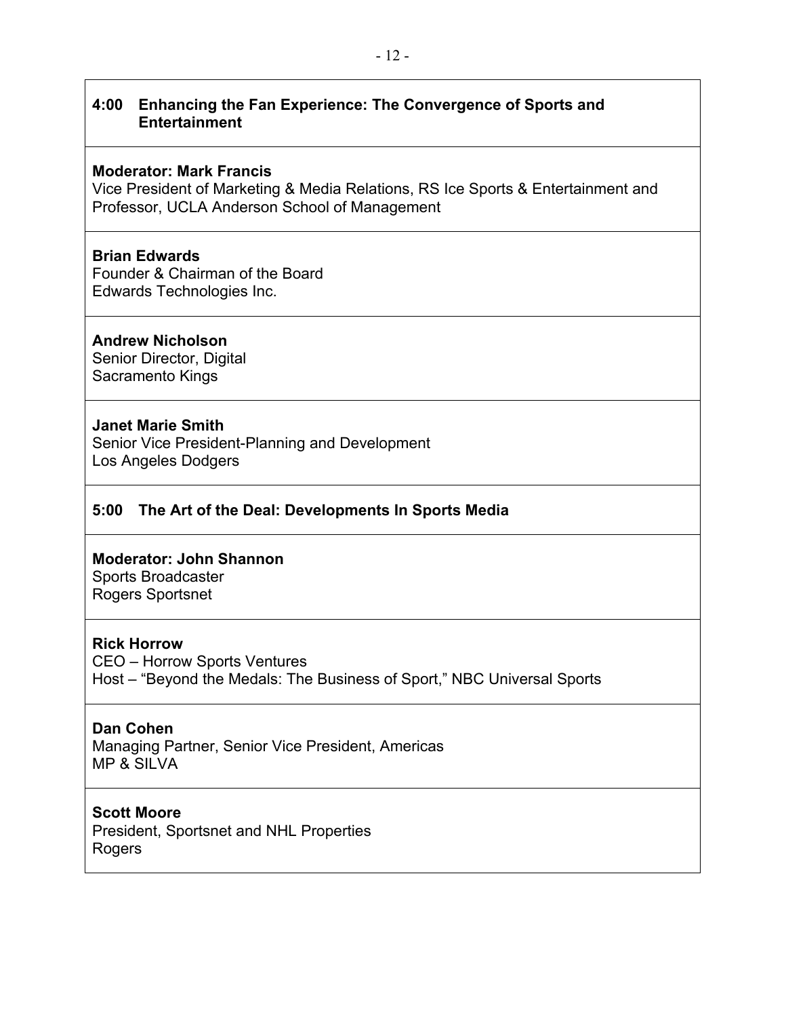# **4:00 Enhancing the Fan Experience: The Convergence of Sports and Entertainment**

#### **Moderator: Mark Francis**

Vice President of Marketing & Media Relations, RS Ice Sports & Entertainment and Professor, UCLA Anderson School of Management

# **Brian Edwards**

Founder & Chairman of the Board Edwards Technologies Inc.

#### **Andrew Nicholson**

Senior Director, Digital Sacramento Kings

#### **Janet Marie Smith**

Senior Vice President-Planning and Development Los Angeles Dodgers

# **5:00 The Art of the Deal: Developments In Sports Media**

#### **Moderator: John Shannon**

Sports Broadcaster Rogers Sportsnet

# **Rick Horrow**

CEO – Horrow Sports Ventures Host – "Beyond the Medals: The Business of Sport," NBC Universal Sports

# **Dan Cohen**

Managing Partner, Senior Vice President, Americas MP & SILVA

# **Scott Moore**

President, Sportsnet and NHL Properties Rogers